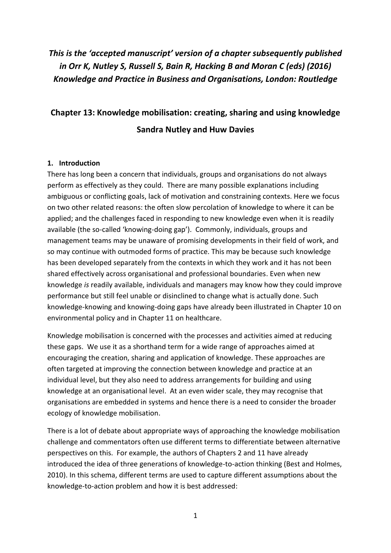# *This is the 'accepted manuscript' version of a chapter subsequently published in Orr K, Nutley S, Russell S, Bain R, Hacking B and Moran C (eds) (2016) Knowledge and Practice in Business and Organisations, London: Routledge*

# **Chapter 13: Knowledge mobilisation: creating, sharing and using knowledge Sandra Nutley and Huw Davies**

#### **1. Introduction**

There has long been a concern that individuals, groups and organisations do not always perform as effectively as they could. There are many possible explanations including ambiguous or conflicting goals, lack of motivation and constraining contexts. Here we focus on two other related reasons: the often slow percolation of knowledge to where it can be applied; and the challenges faced in responding to new knowledge even when it is readily available (the so-called 'knowing-doing gap'). Commonly, individuals, groups and management teams may be unaware of promising developments in their field of work, and so may continue with outmoded forms of practice. This may be because such knowledge has been developed separately from the contexts in which they work and it has not been shared effectively across organisational and professional boundaries. Even when new knowledge *is* readily available, individuals and managers may know how they could improve performance but still feel unable or disinclined to change what is actually done. Such knowledge-knowing and knowing-doing gaps have already been illustrated in Chapter 10 on environmental policy and in Chapter 11 on healthcare.

Knowledge mobilisation is concerned with the processes and activities aimed at reducing these gaps. We use it as a shorthand term for a wide range of approaches aimed at encouraging the creation, sharing and application of knowledge. These approaches are often targeted at improving the connection between knowledge and practice at an individual level, but they also need to address arrangements for building and using knowledge at an organisational level. At an even wider scale, they may recognise that organisations are embedded in systems and hence there is a need to consider the broader ecology of knowledge mobilisation.

There is a lot of debate about appropriate ways of approaching the knowledge mobilisation challenge and commentators often use different terms to differentiate between alternative perspectives on this. For example, the authors of Chapters 2 and 11 have already introduced the idea of three generations of knowledge-to-action thinking (Best and Holmes, 2010). In this schema, different terms are used to capture different assumptions about the knowledge-to-action problem and how it is best addressed: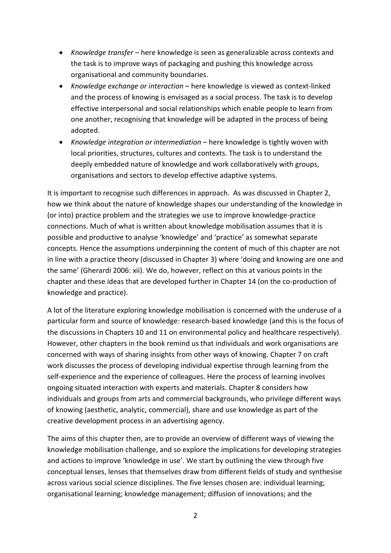- *Knowledge transfer* here knowledge is seen as generalizable across contexts and the task is to improve ways of packaging and pushing this knowledge across organisational and community boundaries.
- *Knowledge exchange or interaction* here knowledge is viewed as context-linked and the process of knowing is envisaged as a social process. The task is to develop effective interpersonal and social relationships which enable people to learn from one another, recognising that knowledge will be adapted in the process of being adopted.
- *Knowledge integration or intermediation*  here knowledge is tightly woven with local priorities, structures, cultures and contexts. The task is to understand the deeply embedded nature of knowledge and work collaboratively with groups, organisations and sectors to develop effective adaptive systems.

It is important to recognise such differences in approach. As was discussed in Chapter 2, how we think about the nature of knowledge shapes our understanding of the knowledge in (or into) practice problem and the strategies we use to improve knowledge-practice connections. Much of what is written about knowledge mobilisation assumes that it is possible and productive to analyse 'knowledge' and 'practice' as somewhat separate concepts. Hence the assumptions underpinning the content of much of this chapter are not in line with a practice theory (discussed in Chapter 3) where 'doing and knowing are one and the same' (Gherardi 2006: xii). We do, however, reflect on this at various points in the chapter and these ideas that are developed further in Chapter 14 (on the co-production of knowledge and practice).

A lot of the literature exploring knowledge mobilisation is concerned with the underuse of a particular form and source of knowledge: research-based knowledge (and this is the focus of the discussions in Chapters 10 and 11 on environmental policy and healthcare respectively). However, other chapters in the book remind us that individuals and work organisations are concerned with ways of sharing insights from other ways of knowing. Chapter 7 on craft work discusses the process of developing individual expertise through learning from the self-experience and the experience of colleagues. Here the process of learning involves ongoing situated interaction with experts and materials. Chapter 8 considers how individuals and groups from arts and commercial backgrounds, who privilege different ways of knowing (aesthetic, analytic, commercial), share and use knowledge as part of the creative development process in an advertising agency.

The aims of this chapter then, are to provide an overview of different ways of viewing the knowledge mobilisation challenge, and so explore the implications for developing strategies and actions to improve 'knowledge in use'. We start by outlining the view through five conceptual lenses, lenses that themselves draw from different fields of study and synthesise across various social science disciplines. The five lenses chosen are: individual learning; organisational learning; knowledge management; diffusion of innovations; and the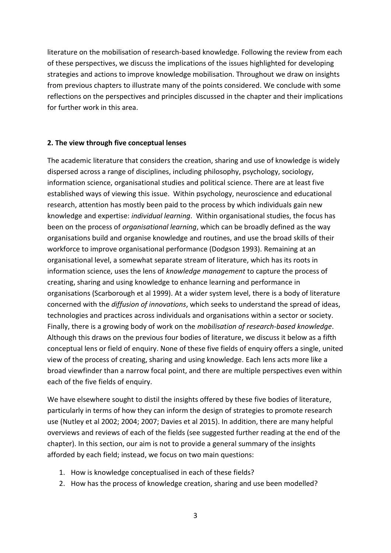literature on the mobilisation of research-based knowledge. Following the review from each of these perspectives, we discuss the implications of the issues highlighted for developing strategies and actions to improve knowledge mobilisation. Throughout we draw on insights from previous chapters to illustrate many of the points considered. We conclude with some reflections on the perspectives and principles discussed in the chapter and their implications for further work in this area.

# **2. The view through five conceptual lenses**

The academic literature that considers the creation, sharing and use of knowledge is widely dispersed across a range of disciplines, including philosophy, psychology, sociology, information science, organisational studies and political science. There are at least five established ways of viewing this issue. Within psychology, neuroscience and educational research, attention has mostly been paid to the process by which individuals gain new knowledge and expertise: *individual learning*. Within organisational studies, the focus has been on the process of *organisational learning*, which can be broadly defined as the way organisations build and organise knowledge and routines, and use the broad skills of their workforce to improve organisational performance (Dodgson 1993). Remaining at an organisational level, a somewhat separate stream of literature, which has its roots in information science, uses the lens of *knowledge management* to capture the process of creating, sharing and using knowledge to enhance learning and performance in organisations (Scarborough et al 1999). At a wider system level, there is a body of literature concerned with the *diffusion of innovations*, which seeks to understand the spread of ideas, technologies and practices across individuals and organisations within a sector or society. Finally, there is a growing body of work on the *mobilisation of research-based knowledge*. Although this draws on the previous four bodies of literature, we discuss it below as a fifth conceptual lens or field of enquiry. None of these five fields of enquiry offers a single, united view of the process of creating, sharing and using knowledge. Each lens acts more like a broad viewfinder than a narrow focal point, and there are multiple perspectives even within each of the five fields of enquiry.

We have elsewhere sought to distil the insights offered by these five bodies of literature, particularly in terms of how they can inform the design of strategies to promote research use (Nutley et al 2002; 2004; 2007; Davies et al 2015). In addition, there are many helpful overviews and reviews of each of the fields (see suggested further reading at the end of the chapter). In this section, our aim is not to provide a general summary of the insights afforded by each field; instead, we focus on two main questions:

- 1. How is knowledge conceptualised in each of these fields?
- 2. How has the process of knowledge creation, sharing and use been modelled?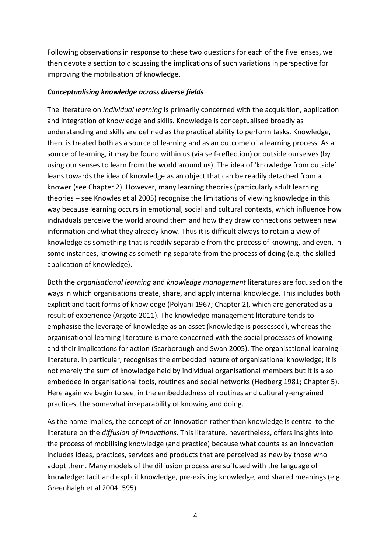Following observations in response to these two questions for each of the five lenses, we then devote a section to discussing the implications of such variations in perspective for improving the mobilisation of knowledge.

#### *Conceptualising knowledge across diverse fields*

The literature on *individual learning* is primarily concerned with the acquisition, application and integration of knowledge and skills. Knowledge is conceptualised broadly as understanding and skills are defined as the practical ability to perform tasks. Knowledge, then, is treated both as a source of learning and as an outcome of a learning process. As a source of learning, it may be found within us (via self-reflection) or outside ourselves (by using our senses to learn from the world around us). The idea of 'knowledge from outside' leans towards the idea of knowledge as an object that can be readily detached from a knower (see Chapter 2). However, many learning theories (particularly adult learning theories – see Knowles et al 2005) recognise the limitations of viewing knowledge in this way because learning occurs in emotional, social and cultural contexts, which influence how individuals perceive the world around them and how they draw connections between new information and what they already know. Thus it is difficult always to retain a view of knowledge as something that is readily separable from the process of knowing, and even, in some instances, knowing as something separate from the process of doing (e.g. the skilled application of knowledge).

Both the *organisational learning* and *knowledge management* literatures are focused on the ways in which organisations create, share, and apply internal knowledge. This includes both explicit and tacit forms of knowledge (Polyani 1967; Chapter 2), which are generated as a result of experience (Argote 2011). The knowledge management literature tends to emphasise the leverage of knowledge as an asset (knowledge is possessed), whereas the organisational learning literature is more concerned with the social processes of knowing and their implications for action (Scarborough and Swan 2005). The organisational learning literature, in particular, recognises the embedded nature of organisational knowledge; it is not merely the sum of knowledge held by individual organisational members but it is also embedded in organisational tools, routines and social networks (Hedberg 1981; Chapter 5). Here again we begin to see, in the embeddedness of routines and culturally-engrained practices, the somewhat inseparability of knowing and doing.

As the name implies, the concept of an innovation rather than knowledge is central to the literature on the *diffusion of innovations*. This literature, nevertheless, offers insights into the process of mobilising knowledge (and practice) because what counts as an innovation includes ideas, practices, services and products that are perceived as new by those who adopt them. Many models of the diffusion process are suffused with the language of knowledge: tacit and explicit knowledge, pre-existing knowledge, and shared meanings (e.g. Greenhalgh et al 2004: 595)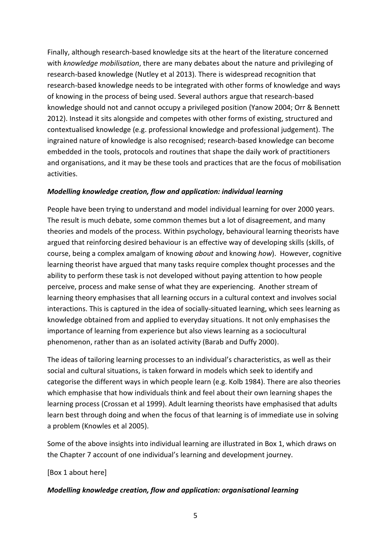Finally, although research-based knowledge sits at the heart of the literature concerned with *knowledge mobilisation*, there are many debates about the nature and privileging of research-based knowledge (Nutley et al 2013). There is widespread recognition that research-based knowledge needs to be integrated with other forms of knowledge and ways of knowing in the process of being used. Several authors argue that research-based knowledge should not and cannot occupy a privileged position (Yanow 2004; Orr & Bennett 2012). Instead it sits alongside and competes with other forms of existing, structured and contextualised knowledge (e.g. professional knowledge and professional judgement). The ingrained nature of knowledge is also recognised; research-based knowledge can become embedded in the tools, protocols and routines that shape the daily work of practitioners and organisations, and it may be these tools and practices that are the focus of mobilisation activities.

# *Modelling knowledge creation, flow and application: individual learning*

People have been trying to understand and model individual learning for over 2000 years. The result is much debate, some common themes but a lot of disagreement, and many theories and models of the process. Within psychology, behavioural learning theorists have argued that reinforcing desired behaviour is an effective way of developing skills (skills, of course, being a complex amalgam of knowing *about* and knowing *how*). However, cognitive learning theorist have argued that many tasks require complex thought processes and the ability to perform these task is not developed without paying attention to how people perceive, process and make sense of what they are experiencing. Another stream of learning theory emphasises that all learning occurs in a cultural context and involves social interactions. This is captured in the idea of socially-situated learning, which sees learning as knowledge obtained from and applied to everyday situations. It not only emphasises the importance of learning from experience but also views learning as a sociocultural phenomenon, rather than as an isolated activity (Barab and Duffy 2000).

The ideas of tailoring learning processes to an individual's characteristics, as well as their social and cultural situations, is taken forward in models which seek to identify and categorise the different ways in which people learn (e.g. Kolb 1984). There are also theories which emphasise that how individuals think and feel about their own learning shapes the learning process (Crossan et al 1999). Adult learning theorists have emphasised that adults learn best through doing and when the focus of that learning is of immediate use in solving a problem (Knowles et al 2005).

Some of the above insights into individual learning are illustrated in Box 1, which draws on the Chapter 7 account of one individual's learning and development journey.

# [Box 1 about here]

# *Modelling knowledge creation, flow and application: organisational learning*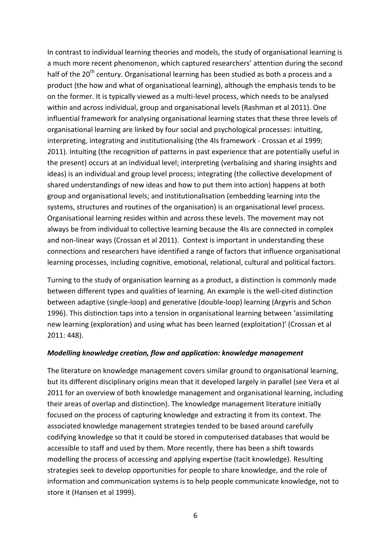In contrast to individual learning theories and models, the study of organisational learning is a much more recent phenomenon, which captured researchers' attention during the second half of the 20<sup>th</sup> century. Organisational learning has been studied as both a process and a product (the how and what of organisational learning), although the emphasis tends to be on the former. It is typically viewed as a multi-level process, which needs to be analysed within and across individual, group and organisational levels (Rashman et al 2011). One influential framework for analysing organisational learning states that these three levels of organisational learning are linked by four social and psychological processes: intuiting, interpreting, integrating and institutionalising (the 4Is framework - Crossan et al 1999; 2011). Intuiting (the recognition of patterns in past experience that are potentially useful in the present) occurs at an individual level; interpreting (verbalising and sharing insights and ideas) is an individual and group level process; integrating (the collective development of shared understandings of new ideas and how to put them into action) happens at both group and organisational levels; and institutionalisation (embedding learning into the systems, structures and routines of the organisation) is an organisational level process. Organisational learning resides within and across these levels. The movement may not always be from individual to collective learning because the 4Is are connected in complex and non-linear ways (Crossan et al 2011). Context is important in understanding these connections and researchers have identified a range of factors that influence organisational learning processes, including cognitive, emotional, relational, cultural and political factors.

Turning to the study of organisation learning as a product, a distinction is commonly made between different types and qualities of learning. An example is the well-cited distinction between adaptive (single-loop) and generative (double-loop) learning (Argyris and Schon 1996). This distinction taps into a tension in organisational learning between 'assimilating new learning (exploration) and using what has been learned (exploitation)' (Crossan et al 2011: 448).

#### *Modelling knowledge creation, flow and application: knowledge management*

The literature on knowledge management covers similar ground to organisational learning, but its different disciplinary origins mean that it developed largely in parallel (see Vera et al 2011 for an overview of both knowledge management and organisational learning, including their areas of overlap and distinction). The knowledge management literature initially focused on the process of capturing knowledge and extracting it from its context. The associated knowledge management strategies tended to be based around carefully codifying knowledge so that it could be stored in computerised databases that would be accessible to staff and used by them. More recently, there has been a shift towards modelling the process of accessing and applying expertise (tacit knowledge). Resulting strategies seek to develop opportunities for people to share knowledge, and the role of information and communication systems is to help people communicate knowledge, not to store it (Hansen et al 1999).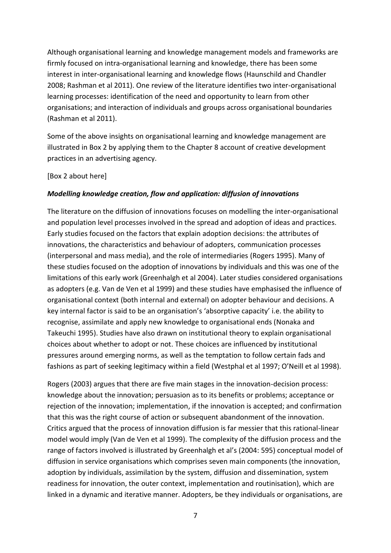Although organisational learning and knowledge management models and frameworks are firmly focused on intra-organisational learning and knowledge, there has been some interest in inter-organisational learning and knowledge flows (Haunschild and Chandler 2008; Rashman et al 2011). One review of the literature identifies two inter-organisational learning processes: identification of the need and opportunity to learn from other organisations; and interaction of individuals and groups across organisational boundaries (Rashman et al 2011).

Some of the above insights on organisational learning and knowledge management are illustrated in Box 2 by applying them to the Chapter 8 account of creative development practices in an advertising agency.

[Box 2 about here]

#### *Modelling knowledge creation, flow and application: diffusion of innovations*

The literature on the diffusion of innovations focuses on modelling the inter-organisational and population level processes involved in the spread and adoption of ideas and practices. Early studies focused on the factors that explain adoption decisions: the attributes of innovations, the characteristics and behaviour of adopters, communication processes (interpersonal and mass media), and the role of intermediaries (Rogers 1995). Many of these studies focused on the adoption of innovations by individuals and this was one of the limitations of this early work (Greenhalgh et al 2004). Later studies considered organisations as adopters (e.g. Van de Ven et al 1999) and these studies have emphasised the influence of organisational context (both internal and external) on adopter behaviour and decisions. A key internal factor is said to be an organisation's 'absorptive capacity' i.e. the ability to recognise, assimilate and apply new knowledge to organisational ends (Nonaka and Takeuchi 1995). Studies have also drawn on institutional theory to explain organisational choices about whether to adopt or not. These choices are influenced by institutional pressures around emerging norms, as well as the temptation to follow certain fads and fashions as part of seeking legitimacy within a field (Westphal et al 1997; O'Neill et al 1998).

Rogers (2003) argues that there are five main stages in the innovation-decision process: knowledge about the innovation; persuasion as to its benefits or problems; acceptance or rejection of the innovation; implementation, if the innovation is accepted; and confirmation that this was the right course of action or subsequent abandonment of the innovation. Critics argued that the process of innovation diffusion is far messier that this rational-linear model would imply (Van de Ven et al 1999). The complexity of the diffusion process and the range of factors involved is illustrated by Greenhalgh et al's (2004: 595) conceptual model of diffusion in service organisations which comprises seven main components (the innovation, adoption by individuals, assimilation by the system, diffusion and dissemination, system readiness for innovation, the outer context, implementation and routinisation), which are linked in a dynamic and iterative manner. Adopters, be they individuals or organisations, are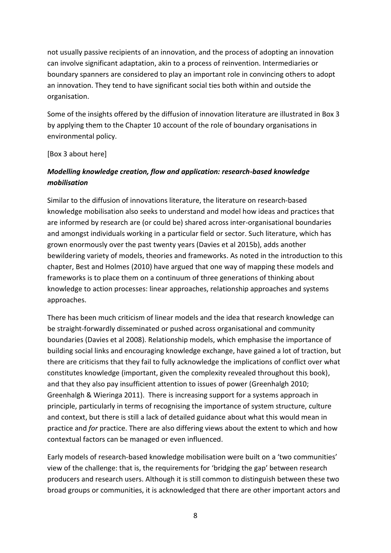not usually passive recipients of an innovation, and the process of adopting an innovation can involve significant adaptation, akin to a process of reinvention. Intermediaries or boundary spanners are considered to play an important role in convincing others to adopt an innovation. They tend to have significant social ties both within and outside the organisation.

Some of the insights offered by the diffusion of innovation literature are illustrated in Box 3 by applying them to the Chapter 10 account of the role of boundary organisations in environmental policy.

# [Box 3 about here]

# *Modelling knowledge creation, flow and application: research-based knowledge mobilisation*

Similar to the diffusion of innovations literature, the literature on research-based knowledge mobilisation also seeks to understand and model how ideas and practices that are informed by research are (or could be) shared across inter-organisational boundaries and amongst individuals working in a particular field or sector. Such literature, which has grown enormously over the past twenty years (Davies et al 2015b), adds another bewildering variety of models, theories and frameworks. As noted in the introduction to this chapter, Best and Holmes (2010) have argued that one way of mapping these models and frameworks is to place them on a continuum of three generations of thinking about knowledge to action processes: linear approaches, relationship approaches and systems approaches.

There has been much criticism of linear models and the idea that research knowledge can be straight-forwardly disseminated or pushed across organisational and community boundaries (Davies et al 2008). Relationship models, which emphasise the importance of building social links and encouraging knowledge exchange, have gained a lot of traction, but there are criticisms that they fail to fully acknowledge the implications of conflict over what constitutes knowledge (important, given the complexity revealed throughout this book), and that they also pay insufficient attention to issues of power (Greenhalgh 2010; Greenhalgh & Wieringa 2011). There is increasing support for a systems approach in principle, particularly in terms of recognising the importance of system structure, culture and context, but there is still a lack of detailed guidance about what this would mean in practice and *for* practice. There are also differing views about the extent to which and how contextual factors can be managed or even influenced.

Early models of research-based knowledge mobilisation were built on a 'two communities' view of the challenge: that is, the requirements for 'bridging the gap' between research producers and research users. Although it is still common to distinguish between these two broad groups or communities, it is acknowledged that there are other important actors and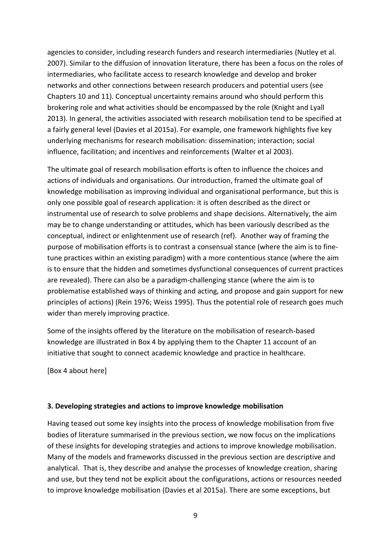agencies to consider, including research funders and research intermediaries (Nutley et al. 2007). Similar to the diffusion of innovation literature, there has been a focus on the roles of intermediaries, who facilitate access to research knowledge and develop and broker networks and other connections between research producers and potential users (see Chapters 10 and 11). Conceptual uncertainty remains around who should perform this brokering role and what activities should be encompassed by the role (Knight and Lyall 2013). In general, the activities associated with research mobilisation tend to be specified at a fairly general level (Davies et al 2015a). For example, one framework highlights five key underlying mechanisms for research mobilisation: dissemination; interaction; social influence, facilitation; and incentives and reinforcements (Walter et al 2003).

The ultimate goal of research mobilisation efforts is often to influence the choices and actions of individuals and organisations. Our introduction, framed the ultimate goal of knowledge mobilisation as improving individual and organisational performance, but this is only one possible goal of research application: it is often described as the direct or instrumental use of research to solve problems and shape decisions. Alternatively, the aim may be to change understanding or attitudes, which has been variously described as the conceptual, indirect or enlightenment use of research (ref). Another way of framing the purpose of mobilisation efforts is to contrast a consensual stance (where the aim is to finetune practices within an existing paradigm) with a more contentious stance (where the aim is to ensure that the hidden and sometimes dysfunctional consequences of current practices are revealed). There can also be a paradigm-challenging stance (where the aim is to problematise established ways of thinking and acting, and propose and gain support for new principles of actions) (Rein 1976; Weiss 1995). Thus the potential role of research goes much wider than merely improving practice.

Some of the insights offered by the literature on the mobilisation of research-based knowledge are illustrated in Box 4 by applying them to the Chapter 11 account of an initiative that sought to connect academic knowledge and practice in healthcare.

[Box 4 about here]

# **3. Developing strategies and actions to improve knowledge mobilisation**

Having teased out some key insights into the process of knowledge mobilisation from five bodies of literature summarised in the previous section, we now focus on the implications of these insights for developing strategies and actions to improve knowledge mobilisation. Many of the models and frameworks discussed in the previous section are descriptive and analytical. That is, they describe and analyse the processes of knowledge creation, sharing and use, but they tend not be explicit about the configurations, actions or resources needed to improve knowledge mobilisation (Davies et al 2015a). There are some exceptions, but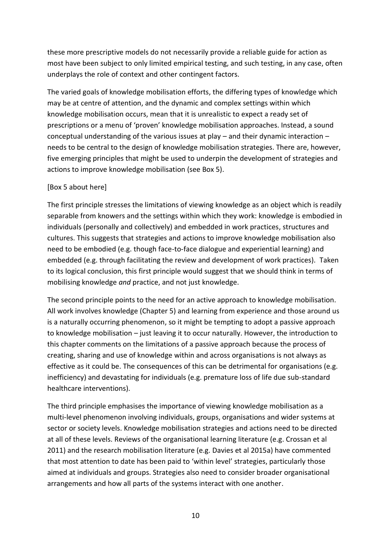these more prescriptive models do not necessarily provide a reliable guide for action as most have been subject to only limited empirical testing, and such testing, in any case, often underplays the role of context and other contingent factors.

The varied goals of knowledge mobilisation efforts, the differing types of knowledge which may be at centre of attention, and the dynamic and complex settings within which knowledge mobilisation occurs, mean that it is unrealistic to expect a ready set of prescriptions or a menu of 'proven' knowledge mobilisation approaches. Instead, a sound conceptual understanding of the various issues at play – and their dynamic interaction – needs to be central to the design of knowledge mobilisation strategies. There are, however, five emerging principles that might be used to underpin the development of strategies and actions to improve knowledge mobilisation (see Box 5).

# [Box 5 about here]

The first principle stresses the limitations of viewing knowledge as an object which is readily separable from knowers and the settings within which they work: knowledge is embodied in individuals (personally and collectively) and embedded in work practices, structures and cultures. This suggests that strategies and actions to improve knowledge mobilisation also need to be embodied (e.g. though face-to-face dialogue and experiential learning) and embedded (e.g. through facilitating the review and development of work practices). Taken to its logical conclusion, this first principle would suggest that we should think in terms of mobilising knowledge *and* practice, and not just knowledge.

The second principle points to the need for an active approach to knowledge mobilisation. All work involves knowledge (Chapter 5) and learning from experience and those around us is a naturally occurring phenomenon, so it might be tempting to adopt a passive approach to knowledge mobilisation – just leaving it to occur naturally. However, the introduction to this chapter comments on the limitations of a passive approach because the process of creating, sharing and use of knowledge within and across organisations is not always as effective as it could be. The consequences of this can be detrimental for organisations (e.g. inefficiency) and devastating for individuals (e.g. premature loss of life due sub-standard healthcare interventions).

The third principle emphasises the importance of viewing knowledge mobilisation as a multi-level phenomenon involving individuals, groups, organisations and wider systems at sector or society levels. Knowledge mobilisation strategies and actions need to be directed at all of these levels. Reviews of the organisational learning literature (e.g. Crossan et al 2011) and the research mobilisation literature (e.g. Davies et al 2015a) have commented that most attention to date has been paid to 'within level' strategies, particularly those aimed at individuals and groups. Strategies also need to consider broader organisational arrangements and how all parts of the systems interact with one another.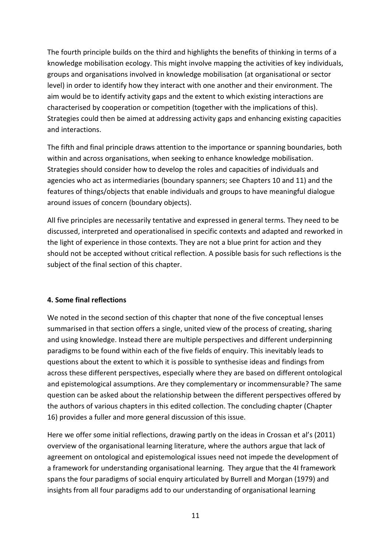The fourth principle builds on the third and highlights the benefits of thinking in terms of a knowledge mobilisation ecology. This might involve mapping the activities of key individuals, groups and organisations involved in knowledge mobilisation (at organisational or sector level) in order to identify how they interact with one another and their environment. The aim would be to identify activity gaps and the extent to which existing interactions are characterised by cooperation or competition (together with the implications of this). Strategies could then be aimed at addressing activity gaps and enhancing existing capacities and interactions.

The fifth and final principle draws attention to the importance or spanning boundaries, both within and across organisations, when seeking to enhance knowledge mobilisation. Strategies should consider how to develop the roles and capacities of individuals and agencies who act as intermediaries (boundary spanners; see Chapters 10 and 11) and the features of things/objects that enable individuals and groups to have meaningful dialogue around issues of concern (boundary objects).

All five principles are necessarily tentative and expressed in general terms. They need to be discussed, interpreted and operationalised in specific contexts and adapted and reworked in the light of experience in those contexts. They are not a blue print for action and they should not be accepted without critical reflection. A possible basis for such reflections is the subject of the final section of this chapter.

# **4. Some final reflections**

We noted in the second section of this chapter that none of the five conceptual lenses summarised in that section offers a single, united view of the process of creating, sharing and using knowledge. Instead there are multiple perspectives and different underpinning paradigms to be found within each of the five fields of enquiry. This inevitably leads to questions about the extent to which it is possible to synthesise ideas and findings from across these different perspectives, especially where they are based on different ontological and epistemological assumptions. Are they complementary or incommensurable? The same question can be asked about the relationship between the different perspectives offered by the authors of various chapters in this edited collection. The concluding chapter (Chapter 16) provides a fuller and more general discussion of this issue.

Here we offer some initial reflections, drawing partly on the ideas in Crossan et al's (2011) overview of the organisational learning literature, where the authors argue that lack of agreement on ontological and epistemological issues need not impede the development of a framework for understanding organisational learning. They argue that the 4I framework spans the four paradigms of social enquiry articulated by Burrell and Morgan (1979) and insights from all four paradigms add to our understanding of organisational learning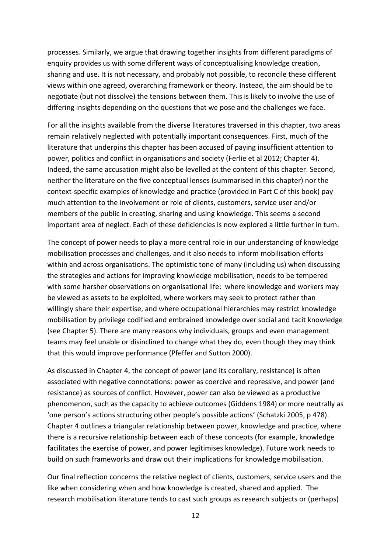processes. Similarly, we argue that drawing together insights from different paradigms of enquiry provides us with some different ways of conceptualising knowledge creation, sharing and use. It is not necessary, and probably not possible, to reconcile these different views within one agreed, overarching framework or theory. Instead, the aim should be to negotiate (but not dissolve) the tensions between them. This is likely to involve the use of differing insights depending on the questions that we pose and the challenges we face.

For all the insights available from the diverse literatures traversed in this chapter, two areas remain relatively neglected with potentially important consequences. First, much of the literature that underpins this chapter has been accused of paying insufficient attention to power, politics and conflict in organisations and society (Ferlie et al 2012; Chapter 4). Indeed, the same accusation might also be levelled at the content of this chapter. Second, neither the literature on the five conceptual lenses (summarised in this chapter) nor the context-specific examples of knowledge and practice (provided in Part C of this book) pay much attention to the involvement or role of clients, customers, service user and/or members of the public in creating, sharing and using knowledge. This seems a second important area of neglect. Each of these deficiencies is now explored a little further in turn.

The concept of power needs to play a more central role in our understanding of knowledge mobilisation processes and challenges, and it also needs to inform mobilisation efforts within and across organisations. The optimistic tone of many (including us) when discussing the strategies and actions for improving knowledge mobilisation, needs to be tempered with some harsher observations on organisational life: where knowledge and workers may be viewed as assets to be exploited, where workers may seek to protect rather than willingly share their expertise, and where occupational hierarchies may restrict knowledge mobilisation by privilege codified and embrained knowledge over social and tacit knowledge (see Chapter 5). There are many reasons why individuals, groups and even management teams may feel unable or disinclined to change what they do, even though they may think that this would improve performance (Pfeffer and Sutton 2000).

As discussed in Chapter 4, the concept of power (and its corollary, resistance) is often associated with negative connotations: power as coercive and repressive, and power (and resistance) as sources of conflict. However, power can also be viewed as a productive phenomenon, such as the capacity to achieve outcomes (Giddens 1984) or more neutrally as 'one person's actions structuring other people's possible actions' (Schatzki 2005, p 478). Chapter 4 outlines a triangular relationship between power, knowledge and practice, where there is a recursive relationship between each of these concepts (for example, knowledge facilitates the exercise of power, and power legitimises knowledge). Future work needs to build on such frameworks and draw out their implications for knowledge mobilisation.

Our final reflection concerns the relative neglect of clients, customers, service users and the like when considering when and how knowledge is created, shared and applied. The research mobilisation literature tends to cast such groups as research subjects or (perhaps)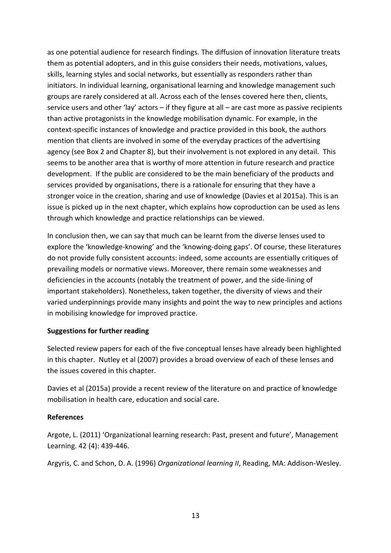as one potential audience for research findings. The diffusion of innovation literature treats them as potential adopters, and in this guise considers their needs, motivations, values, skills, learning styles and social networks, but essentially as responders rather than initiators. In individual learning, organisational learning and knowledge management such groups are rarely considered at all. Across each of the lenses covered here then, clients, service users and other 'lay' actors  $-$  if they figure at all  $-$  are cast more as passive recipients than active protagonists in the knowledge mobilisation dynamic. For example, in the context-specific instances of knowledge and practice provided in this book, the authors mention that clients are involved in some of the everyday practices of the advertising agency (see Box 2 and Chapter 8), but their involvement is not explored in any detail. This seems to be another area that is worthy of more attention in future research and practice development. If the public are considered to be the main beneficiary of the products and services provided by organisations, there is a rationale for ensuring that they have a stronger voice in the creation, sharing and use of knowledge (Davies et al 2015a). This is an issue is picked up in the next chapter, which explains how coproduction can be used as lens through which knowledge and practice relationships can be viewed.

In conclusion then, we can say that much can be learnt from the diverse lenses used to explore the 'knowledge-knowing' and the 'knowing-doing gaps'. Of course, these literatures do not provide fully consistent accounts: indeed, some accounts are essentially critiques of prevailing models or normative views. Moreover, there remain some weaknesses and deficiencies in the accounts (notably the treatment of power, and the side-lining of important stakeholders). Nonetheless, taken together, the diversity of views and their varied underpinnings provide many insights and point the way to new principles and actions in mobilising knowledge for improved practice.

# **Suggestions for further reading**

Selected review papers for each of the five conceptual lenses have already been highlighted in this chapter. Nutley et al (2007) provides a broad overview of each of these lenses and the issues covered in this chapter.

Davies et al (2015a) provide a recent review of the literature on and practice of knowledge mobilisation in health care, education and social care.

#### **References**

Argote, L. (2011) 'Organizational learning research: Past, present and future', Management Learning. 42 (4): 439-446.

Argyris, C. and Schon, D. A. (1996) *Organizational learning II*, Reading, MA: Addison-Wesley.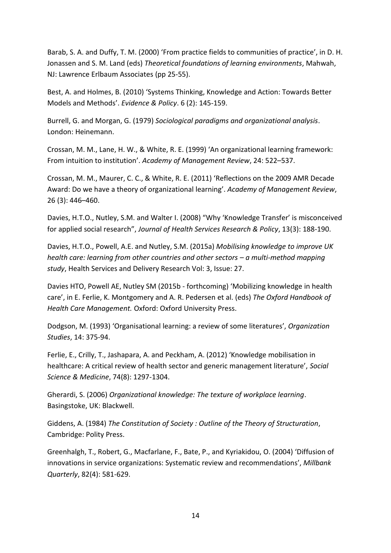Barab, S. A. and Duffy, T. M. (2000) 'From practice fields to communities of practice', in D. H. Jonassen and S. M. Land (eds) *Theoretical foundations of learning environments*, Mahwah, NJ: Lawrence Erlbaum Associates (pp 25-55).

Best, A. and Holmes, B. (2010) 'Systems Thinking, Knowledge and Action: Towards Better Models and Methods'. *Evidence & Policy*. 6 (2): 145-159.

Burrell, G. and Morgan, G. (1979) *Sociological paradigms and organizational analysis*. London: Heinemann.

Crossan, M. M., Lane, H. W., & White, R. E. (1999) 'An organizational learning framework: From intuition to institution'. *Academy of Management Review*, 24: 522–537.

Crossan, M. M., Maurer, C. C., & White, R. E. (2011) 'Reflections on the 2009 AMR Decade Award: Do we have a theory of organizational learning'. *Academy of Management Review*, 26 (3): 446–460.

Davies, H.T.O., Nutley, S.M. and Walter I. (2008) "Why 'Knowledge Transfer' is misconceived for applied social research", *Journal of Health Services Research & Policy*, 13(3): 188-190.

Davies, H.T.O., Powell, A.E. and Nutley, S.M. (2015a) *Mobilising knowledge to improve UK health care: learning from other countries and other sectors – a multi-method mapping study*, Health Services and Delivery Research Vol: 3, Issue: 27.

Davies HTO, Powell AE, Nutley SM (2015b - forthcoming) 'Mobilizing knowledge in health care', in E. Ferlie, K. Montgomery and A. R. Pedersen et al. (eds) *The Oxford Handbook of Health Care Management.* Oxford: Oxford University Press.

Dodgson, M. (1993) 'Organisational learning: a review of some literatures', *Organization Studies*, 14: 375-94.

Ferlie, E., Crilly, T., Jashapara, A. and Peckham, A. (2012) 'Knowledge mobilisation in healthcare: A critical review of health sector and generic management literature', *Social Science & Medicine*, 74(8): 1297-1304.

Gherardi, S. (2006) *Organizational knowledge: The texture of workplace learning*. Basingstoke, UK: Blackwell.

Giddens, A. (1984) *The Constitution of Society : Outline of the Theory of Structuration*, Cambridge: Polity Press.

Greenhalgh, T., Robert, G., Macfarlane, F., Bate, P., and Kyriakidou, O. (2004) 'Diffusion of innovations in service organizations: Systematic review and recommendations', *Millbank Quarterly*, 82(4): 581-629.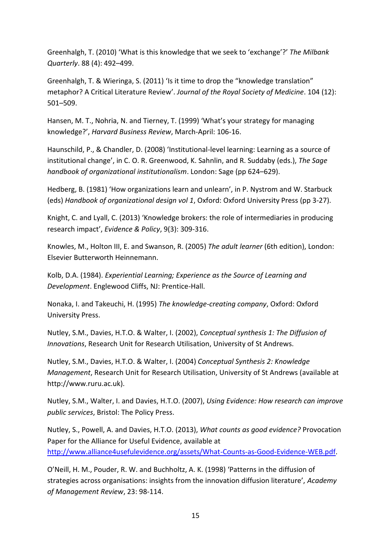Greenhalgh, T. (2010) 'What is this knowledge that we seek to 'exchange'?' *The Milbank Quarterly*. 88 (4): 492–499.

Greenhalgh, T. & Wieringa, S. (2011) 'Is it time to drop the "knowledge translation" metaphor? A Critical Literature Review'. *Journal of the Royal Society of Medicine*. 104 (12): 501–509.

Hansen, M. T., Nohria, N. and Tierney, T. (1999) 'What's your strategy for managing knowledge?', *Harvard Business Review*, March-April: 106-16.

Haunschild, P., & Chandler, D. (2008) 'Institutional-level learning: Learning as a source of institutional change', in C. O. R. Greenwood, K. Sahnlin, and R. Suddaby (eds.), *The Sage handbook of organizational institutionalism*. London: Sage (pp 624–629).

Hedberg, B. (1981) 'How organizations learn and unlearn', in P. Nystrom and W. Starbuck (eds) *Handbook of organizational design vol 1*, Oxford: Oxford University Press (pp 3-27).

Knight, C. and Lyall, C. (2013) 'Knowledge brokers: the role of intermediaries in producing research impact', *Evidence & Policy*, 9(3): 309-316.

Knowles, M., Holton III, E. and Swanson, R. (2005) *The adult learner* (6th edition), London: Elsevier Butterworth Heinnemann.

Kolb, D.A. (1984). *Experiential Learning; Experience as the Source of Learning and Development*. Englewood Cliffs, NJ: Prentice-Hall.

Nonaka, I. and Takeuchi, H. (1995) *The knowledge-creating company*, Oxford: Oxford University Press.

Nutley, S.M., Davies, H.T.O. & Walter, I. (2002), *Conceptual synthesis 1: The Diffusion of Innovations*, Research Unit for Research Utilisation, University of St Andrews.

Nutley, S.M., Davies, H.T.O. & Walter, I. (2004) *Conceptual Synthesis 2: Knowledge Management*, Research Unit for Research Utilisation, University of St Andrews (available at http://www.ruru.ac.uk).

Nutley, S.M., Walter, I. and Davies, H.T.O. (2007), *Using Evidence: How research can improve public services*, Bristol: The Policy Press.

Nutley, S., Powell, A. and Davies, H.T.O. (2013), *What counts as good evidence?* Provocation Paper for the Alliance for Useful Evidence, available at [http://www.alliance4usefulevidence.org/assets/What-Counts-as-Good-Evidence-WEB.pdf.](http://www.alliance4usefulevidence.org/assets/What-Counts-as-Good-Evidence-WEB.pdf)

O'Neill, H. M., Pouder, R. W. and Buchholtz, A. K. (1998) 'Patterns in the diffusion of strategies across organisations: insights from the innovation diffusion literature', *Academy of Management Review*, 23: 98-114.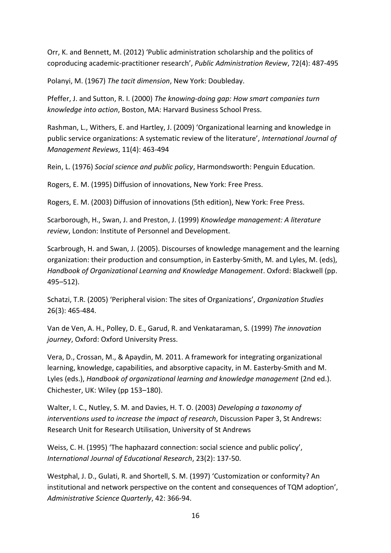Orr, K. and Bennett, M. (2012) 'Public administration scholarship and the politics of coproducing academic-practitioner research', *Public Administration Review*, 72(4): 487-495

Polanyi, M. (1967) *The tacit dimension*, New York: Doubleday.

Pfeffer, J. and Sutton, R. I. (2000) *The knowing-doing gap: How smart companies turn knowledge into action*, Boston, MA: Harvard Business School Press.

Rashman, L., Withers, E. and Hartley, J. (2009) 'Organizational learning and knowledge in public service organizations: A systematic review of the literature', *International Journal of Management Reviews*, 11(4): 463-494

Rein, L. (1976) *Social science and public policy*, Harmondsworth: Penguin Education.

Rogers, E. M. (1995) Diffusion of innovations, New York: Free Press.

Rogers, E. M. (2003) Diffusion of innovations (5th edition), New York: Free Press.

Scarborough, H., Swan, J. and Preston, J. (1999) *Knowledge management: A literature review*, London: Institute of Personnel and Development.

Scarbrough, H. and Swan, J. (2005). Discourses of knowledge management and the learning organization: their production and consumption, in Easterby-Smith, M. and Lyles, M. (eds), *Handbook of Organizational Learning and Knowledge Management*. Oxford: Blackwell (pp. 495–512).

Schatzi, T.R. (2005) 'Peripheral vision: The sites of Organizations', *Organization Studies* 26(3): 465-484.

Van de Ven, A. H., Polley, D. E., Garud, R. and Venkataraman, S. (1999) *The innovation journey*, Oxford: Oxford University Press.

Vera, D., Crossan, M., & Apaydin, M. 2011. A framework for integrating organizational learning, knowledge, capabilities, and absorptive capacity, in M. Easterby-Smith and M. Lyles (eds.), *Handbook of organizational learning and knowledge management* (2nd ed.). Chichester, UK: Wiley (pp 153–180).

Walter, I. C., Nutley, S. M. and Davies, H. T. O. (2003) *Developing a taxonomy of interventions used to increase the impact of research*, Discussion Paper 3, St Andrews: Research Unit for Research Utilisation, University of St Andrews

Weiss, C. H. (1995) 'The haphazard connection: social science and public policy', *International Journal of Educational Research*, 23(2): 137-50.

Westphal, J. D., Gulati, R. and Shortell, S. M. (1997) 'Customization or conformity? An institutional and network perspective on the content and consequences of TQM adoption', *Administrative Science Quarterly*, 42: 366-94.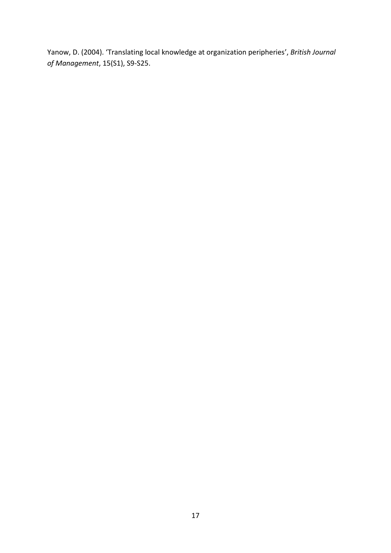Yanow, D. (2004). 'Translating local knowledge at organization peripheries', *British Journal of Management*, 15(S1), S9-S25.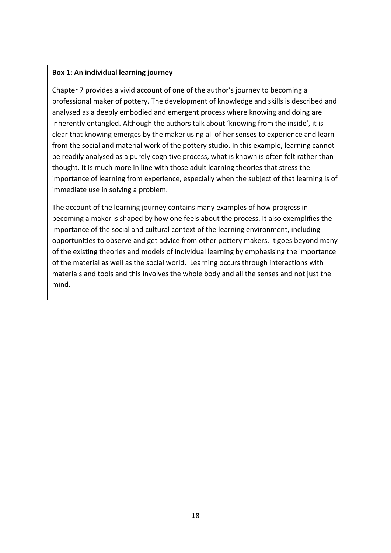#### **Box 1: An individual learning journey**

Chapter 7 provides a vivid account of one of the author's journey to becoming a professional maker of pottery. The development of knowledge and skills is described and analysed as a deeply embodied and emergent process where knowing and doing are inherently entangled. Although the authors talk about 'knowing from the inside', it is clear that knowing emerges by the maker using all of her senses to experience and learn from the social and material work of the pottery studio. In this example, learning cannot be readily analysed as a purely cognitive process, what is known is often felt rather than thought. It is much more in line with those adult learning theories that stress the importance of learning from experience, especially when the subject of that learning is of immediate use in solving a problem.

The account of the learning journey contains many examples of how progress in becoming a maker is shaped by how one feels about the process. It also exemplifies the importance of the social and cultural context of the learning environment, including opportunities to observe and get advice from other pottery makers. It goes beyond many of the existing theories and models of individual learning by emphasising the importance of the material as well as the social world. Learning occurs through interactions with materials and tools and this involves the whole body and all the senses and not just the mind.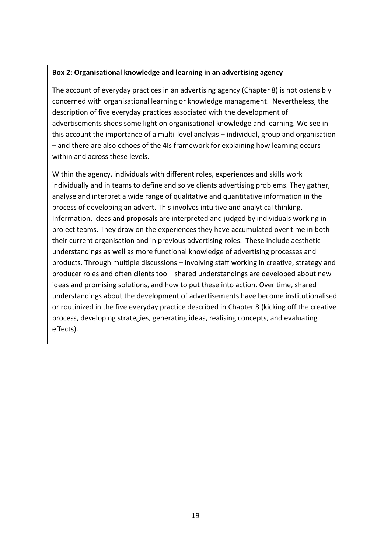#### **Box 2: Organisational knowledge and learning in an advertising agency**

The account of everyday practices in an advertising agency (Chapter 8) is not ostensibly concerned with organisational learning or knowledge management. Nevertheless, the description of five everyday practices associated with the development of advertisements sheds some light on organisational knowledge and learning. We see in this account the importance of a multi-level analysis – individual, group and organisation – and there are also echoes of the 4Is framework for explaining how learning occurs within and across these levels.

Within the agency, individuals with different roles, experiences and skills work individually and in teams to define and solve clients advertising problems. They gather, analyse and interpret a wide range of qualitative and quantitative information in the process of developing an advert. This involves intuitive and analytical thinking. Information, ideas and proposals are interpreted and judged by individuals working in project teams. They draw on the experiences they have accumulated over time in both their current organisation and in previous advertising roles. These include aesthetic understandings as well as more functional knowledge of advertising processes and products. Through multiple discussions – involving staff working in creative, strategy and producer roles and often clients too – shared understandings are developed about new ideas and promising solutions, and how to put these into action. Over time, shared understandings about the development of advertisements have become institutionalised or routinized in the five everyday practice described in Chapter 8 (kicking off the creative process, developing strategies, generating ideas, realising concepts, and evaluating effects).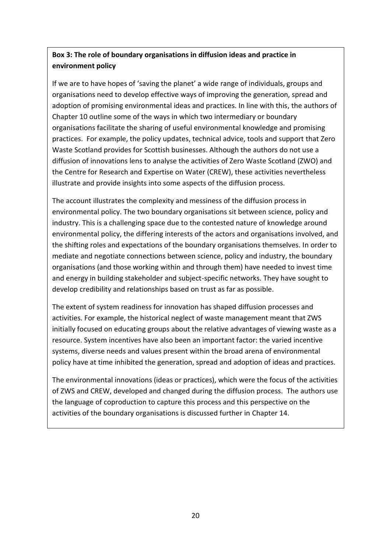# **Box 3: The role of boundary organisations in diffusion ideas and practice in environment policy**

If we are to have hopes of 'saving the planet' a wide range of individuals, groups and organisations need to develop effective ways of improving the generation, spread and adoption of promising environmental ideas and practices. In line with this, the authors of Chapter 10 outline some of the ways in which two intermediary or boundary organisations facilitate the sharing of useful environmental knowledge and promising practices. For example, the policy updates, technical advice, tools and support that Zero Waste Scotland provides for Scottish businesses. Although the authors do not use a diffusion of innovations lens to analyse the activities of Zero Waste Scotland (ZWO) and the Centre for Research and Expertise on Water (CREW), these activities nevertheless illustrate and provide insights into some aspects of the diffusion process.

The account illustrates the complexity and messiness of the diffusion process in environmental policy. The two boundary organisations sit between science, policy and industry. This is a challenging space due to the contested nature of knowledge around environmental policy, the differing interests of the actors and organisations involved, and the shifting roles and expectations of the boundary organisations themselves. In order to mediate and negotiate connections between science, policy and industry, the boundary organisations (and those working within and through them) have needed to invest time and energy in building stakeholder and subject-specific networks. They have sought to develop credibility and relationships based on trust as far as possible.

The extent of system readiness for innovation has shaped diffusion processes and activities. For example, the historical neglect of waste management meant that ZWS initially focused on educating groups about the relative advantages of viewing waste as a resource. System incentives have also been an important factor: the varied incentive systems, diverse needs and values present within the broad arena of environmental policy have at time inhibited the generation, spread and adoption of ideas and practices.

The environmental innovations (ideas or practices), which were the focus of the activities of ZWS and CREW, developed and changed during the diffusion process. The authors use the language of coproduction to capture this process and this perspective on the activities of the boundary organisations is discussed further in Chapter 14.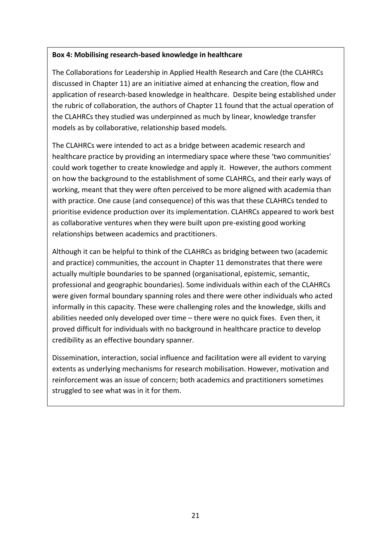#### **Box 4: Mobilising research-based knowledge in healthcare**

The Collaborations for Leadership in Applied Health Research and Care (the CLAHRCs discussed in Chapter 11) are an initiative aimed at enhancing the creation, flow and application of research-based knowledge in healthcare. Despite being established under the rubric of collaboration, the authors of Chapter 11 found that the actual operation of the CLAHRCs they studied was underpinned as much by linear, knowledge transfer models as by collaborative, relationship based models.

The CLAHRCs were intended to act as a bridge between academic research and healthcare practice by providing an intermediary space where these 'two communities' could work together to create knowledge and apply it. However, the authors comment on how the background to the establishment of some CLAHRCs, and their early ways of working, meant that they were often perceived to be more aligned with academia than with practice. One cause (and consequence) of this was that these CLAHRCs tended to prioritise evidence production over its implementation. CLAHRCs appeared to work best as collaborative ventures when they were built upon pre-existing good working relationships between academics and practitioners.

Although it can be helpful to think of the CLAHRCs as bridging between two (academic and practice) communities, the account in Chapter 11 demonstrates that there were actually multiple boundaries to be spanned (organisational, epistemic, semantic, professional and geographic boundaries). Some individuals within each of the CLAHRCs were given formal boundary spanning roles and there were other individuals who acted informally in this capacity. These were challenging roles and the knowledge, skills and abilities needed only developed over time – there were no quick fixes. Even then, it proved difficult for individuals with no background in healthcare practice to develop credibility as an effective boundary spanner.

Dissemination, interaction, social influence and facilitation were all evident to varying extents as underlying mechanisms for research mobilisation. However, motivation and reinforcement was an issue of concern; both academics and practitioners sometimes struggled to see what was in it for them.